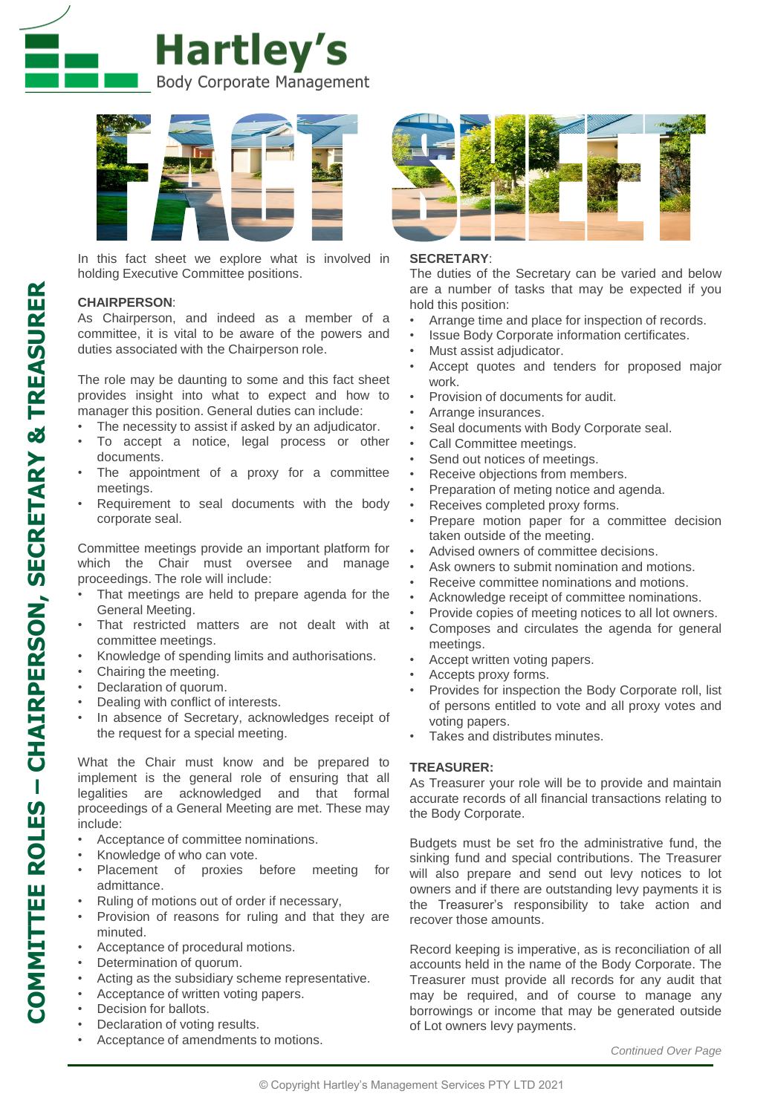



In this fact sheet we explore what is involved in holding Executive Committee positions.

## **CHAIRPERSON**:

As Chairperson, and indeed as a member of a committee, it is vital to be aware of the powers and duties associated with the Chairperson role.

The role may be daunting to some and this fact sheet provides insight into what to expect and how to manager this position. General duties can include:

- The necessity to assist if asked by an adjudicator.
- To accept a notice, legal process or other documents.
- The appointment of a proxy for a committee meetings.
- Requirement to seal documents with the body corporate seal.

Committee meetings provide an important platform for which the Chair must oversee and manage proceedings. The role will include:

- That meetings are held to prepare agenda for the General Meeting.
- That restricted matters are not dealt with at committee meetings.
- Knowledge of spending limits and authorisations.
- Chairing the meeting.
- Declaration of quorum.
- Dealing with conflict of interests.
- In absence of Secretary, acknowledges receipt of the request for a special meeting.

What the Chair must know and be prepared to implement is the general role of ensuring that all legalities are acknowledged and that formal proceedings of a General Meeting are met. These may include:

- Acceptance of committee nominations.
- Knowledge of who can vote.
- Placement of proxies before meeting for admittance.
- Ruling of motions out of order if necessary,
- Provision of reasons for ruling and that they are minuted.
- Acceptance of procedural motions.
- Determination of quorum.
- Acting as the subsidiary scheme representative.
- Acceptance of written voting papers.
- Decision for ballots.
- Declaration of voting results.
- Acceptance of amendments to motions.



## **SECRETARY**:

The duties of the Secretary can be varied and below are a number of tasks that may be expected if you hold this position:

- Arrange time and place for inspection of records.
- Issue Body Corporate information certificates.
- Must assist adjudicator.
- Accept quotes and tenders for proposed major work.
- Provision of documents for audit.
- Arrange insurances.
- Seal documents with Body Corporate seal.
- Call Committee meetings.
- Send out notices of meetings.
- Receive objections from members.
- Preparation of meting notice and agenda.
- Receives completed proxy forms.
- Prepare motion paper for a committee decision taken outside of the meeting.
- Advised owners of committee decisions.
- Ask owners to submit nomination and motions.
- Receive committee nominations and motions.
- Acknowledge receipt of committee nominations.
- Provide copies of meeting notices to all lot owners.
- Composes and circulates the agenda for general meetings.
- Accept written voting papers.
- Accepts proxy forms.
- Provides for inspection the Body Corporate roll, list of persons entitled to vote and all proxy votes and voting papers.
- Takes and distributes minutes.

## **TREASURER:**

As Treasurer your role will be to provide and maintain accurate records of all financial transactions relating to the Body Corporate.

Budgets must be set fro the administrative fund, the sinking fund and special contributions. The Treasurer will also prepare and send out levy notices to lot owners and if there are outstanding levy payments it is the Treasurer's responsibility to take action and recover those amounts.

Record keeping is imperative, as is reconciliation of all accounts held in the name of the Body Corporate. The Treasurer must provide all records for any audit that may be required, and of course to manage any borrowings or income that may be generated outside of Lot owners levy payments.

*Continued Over Page*